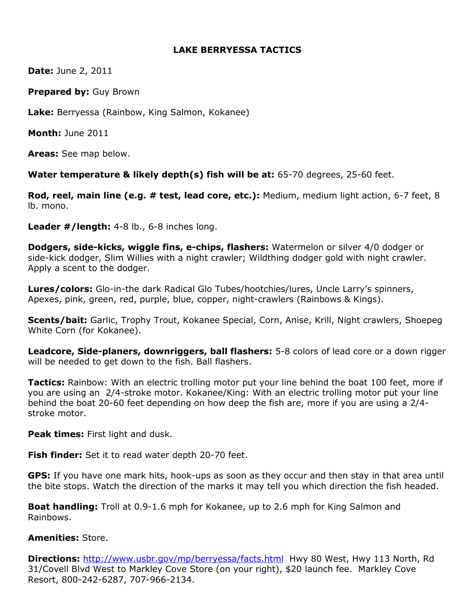## LAKE BERRYESSA TACTICS

**Date: June 2, 2011** 

Prepared by: Guy Brown

Lake: Berryessa (Rainbow, King Salmon, Kokanee)

Month: June 2011

Areas: See map below.

Water temperature & likely depth(s) fish will be at: 65-70 degrees, 25-60 feet.

Rod, reel, main line (e.g. # test, lead core, etc.): Medium, medium light action, 6-7 feet, 8 lb. mono.

Leader #/length: 4-8 lb., 6-8 inches long.

Dodgers, side-kicks, wiggle fins, e-chips, flashers: Watermelon or silver 4/0 dodger or side-kick dodger, Slim Willies with a night crawler; Wildthing dodger gold with night crawler. Apply a scent to the dodger.

Lures/colors: Glo-in-the dark Radical Glo Tubes/hootchies/lures, Uncle Larry's spinners, Apexes, pink, green, red, purple, blue, copper, night-crawlers (Rainbows & Kings).

Scents/bait: Garlic, Trophy Trout, Kokanee Special, Corn, Anise, Krill, Night crawlers, Shoepeg White Corn (for Kokanee).

Leadcore, Side-planers, downriggers, ball flashers: 5-8 colors of lead core or a down rigger will be needed to get down to the fish. Ball flashers.

**Tactics:** Rainbow: With an electric trolling motor put your line behind the boat 100 feet, more if you are using an 2/4-stroke motor. Kokanee/King: With an electric trolling motor put your line behind the boat 20-60 feet depending on how deep the fish are, more if you are using a 2/4 stroke motor.

**Peak times:** First light and dusk.

**Fish finder:** Set it to read water depth 20-70 feet.

GPS: If you have one mark hits, hook-ups as soon as they occur and then stay in that area until the bite stops. Watch the direction of the marks it may tell you which direction the fish headed.

**Boat handling:** Troll at 0.9-1.6 mph for Kokanee, up to 2.6 mph for King Salmon and Rainbows.

## Amenities: Store.

**Directions:** http://www.usbr.gov/mp/berryessa/facts.html Hwy 80 West, Hwy 113 North, Rd 31/Covell Blvd West to Markley Cove Store (on your right), \$20 launch fee. Markley Cove Resort, 800-242-6287, 707-966-2134.